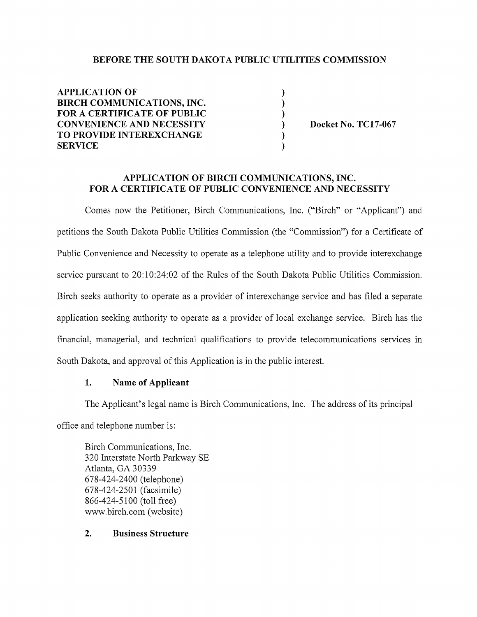#### BEFORE THE SOUTH DAKOTA PUBLIC UTILITIES COMMISSION

| <b>APPLICATION OF</b>            |                     |
|----------------------------------|---------------------|
| BIRCH COMMUNICATIONS, INC.       |                     |
| FOR A CERTIFICATE OF PUBLIC      |                     |
| <b>CONVENIENCE AND NECESSITY</b> | Docket No. TC17-067 |
| TO PROVIDE INTEREXCHANGE         |                     |
| <b>SERVICE</b>                   |                     |

#### APPLICATION OF BIRCH COMMUNICATIONS, INC. FOR A CERTIFICATE OF PUBLIC CONVENIENCE AND NECESSITY

Comes now the Petitioner, Birch Communications, Inc. ("Birch" or "Applicant") and petitions the South Dakota Public Utilities Commission (the "Commission") for a Certificate of Public Convenience and Necessity to operate as a telephone utility and to provide interexchange service pursuant to 20:10:24:02 of the Rules of the South Dakota Public Utilities Commission. Birch seeks authority to operate as a provider of interexchange service and has filed a separate application seeking authority to operate as a provider of local exchange service. Birch has the financial, managerial, and technical qualifications to provide telecommunications services in South Dakota, and approval of this Application is in the public interest.

### 1. Name of Applicant

The Applicant's legal name is Birch Communications, Inc. The address of its principal office and telephone number is:

Birch Communications, Inc. 320 Interstate North Parkway SE Atlanta, GA 30339 678-424-2400 (telephone) 678-424-2501 (facsimile) 866-424-5100 (toll free) www.birch.com(website)

### 2. Business Structure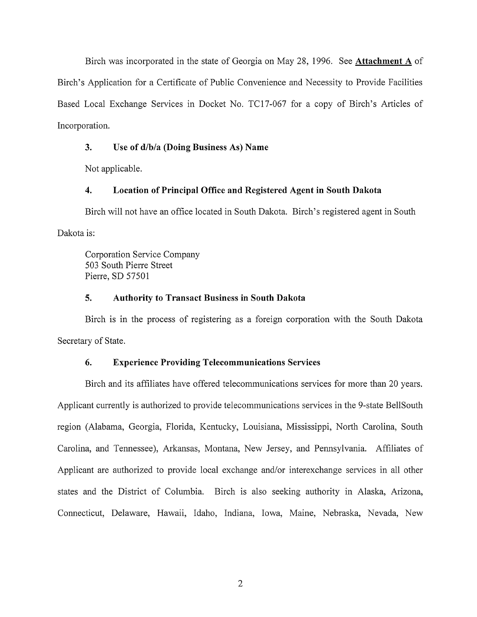Birch was incorporated in the state of Georgia on May 28, 1996. See **Attachment A** of Birch's Application for a Certificate of Public Convenience and Necessity to Provide Facilities Based Local Exchange Services in Docket No. TC17-067 for a copy of Birch's Articles of Incorporation.

## **3. Use of d/b/a (Doing Business As) Name**

Not applicable.

## **4. Location of Principal Office and Registered Agent in South Dakota**

Birch will not have an office located in South Dakota. Birch's registered agent in South Dakota is:

Corporation Service Company 503 South Pierre Street Pierre, SD 57501

## **5. Authority to Transact Business in South Dakota**

Birch is in the process of registering as a foreign corporation with the South Dakota Secretary of State.

## **6. Experience Providing Telecommunications Services**

Birch and its affiliates have offered telecommunications services for more than 20 years. Applicant currently is authorized to provide telecommunications services in the 9-state BellSouth region (Alabama, Georgia, Florida, Kentucky, Louisiana, Mississippi, North Carolina, South Carolina, and Tennessee), Arkansas, Montana, New Jersey, and Pennsylvania. Affiliates of Applicant are authorized to provide local exchange and/or interexchange services in all other states and the District of Columbia. Birch is also seeking authority in Alaska, Arizona, Connecticut, Delaware, Hawaii, Idaho, Indiana, Iowa, Maine, Nebraska, Nevada, New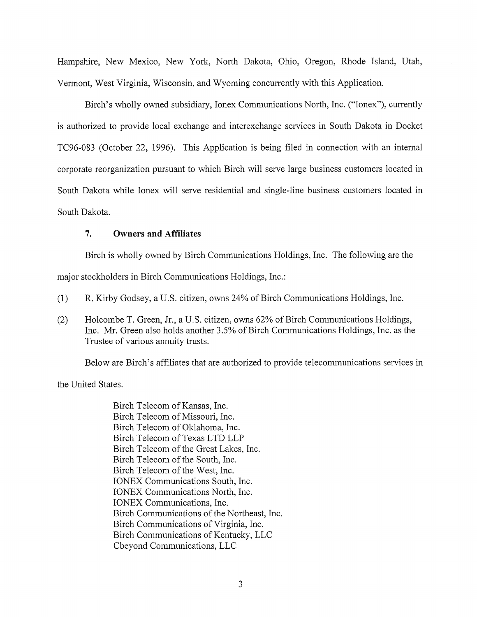Hampshire, New Mexico, New York, North Dakota, Ohio, Oregon, Rhode Island, Utah, Vermont, West Virginia, Wisconsin, and Wyoming concurrently with this Application.

Birch's wholly owned subsidiary, Ionex Communications North, Inc. ("Ionex"), currently is authorized to provide local exchange and interexchange services in South Dakota in Docket TC96-083 (October 22, 1996). This Application is being filed in connection with an internal corporate reorganization pursuant to which Birch will serve large business customers located in South Dakota while Ionex will serve residential and single-line business customers located in South Dakota.

### **7. Owners and Affiliates**

Birch is wholly owned by Birch Communications Holdings, Inc. The following are the

major stockholders in Birch Communications Holdings, Inc.:

- (1) R. Kirby Godsey, a U.S. citizen, owns 24% of Birch Communications Holdings, Inc.
- (2) Holcombe T. Green, Jr., a U.S. citizen, owns 62% of Birch Communications Holdings, Inc. Mr. Green also holds another 3.5% of Birch Communications Holdings, Inc. as the Trustee of various annuity trusts.

Below are Birch's affiliates that are authorized to provide telecommunications services in

the United States.

Birch Telecom of Kansas, Inc. Birch Telecom of Missouri, Inc. Birch Telecom of Oklahoma, Inc. Birch Telecom of Texas LTD LLP Birch Telecom of the Great Lakes, Inc. Birch Telecom of the South, Inc. Birch Telecom of the West, Inc. IONEX Communications South, Inc. IONEX Communications North, Inc. IONEX Communications, Inc. Birch Communications of the Northeast, Inc. Birch Communications of Virginia, Inc. Birch Communications of Kentucky, LLC Cbeyond Communications, LLC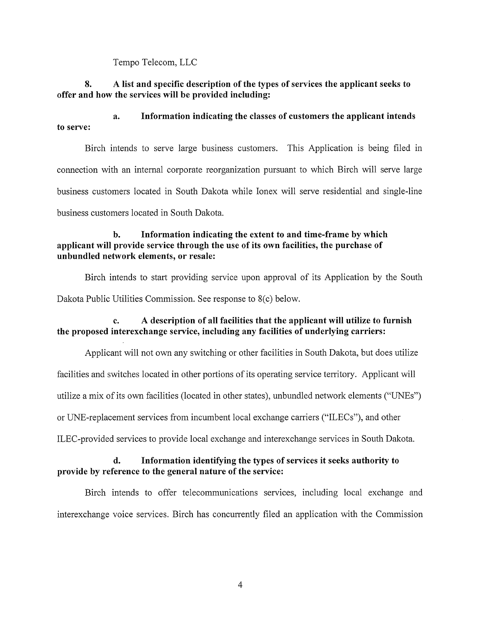Tempo Telecom, LLC

## **8. A list and specific description of the types of services the applicant seeks to offer and how the services will be provided including:**

**a. Information indicating the classes of customers the applicant intends to serve:** 

Birch intends to serve large business customers. This Application is being filed in connection with an internal corporate reorganization pursuant to which Birch will serve large business customers located in South Dakota while Ionex will serve residential and single-line business customers located in South Dakota.

### **b. Information indicating the extent to and time-frame by which applicant will provide service through the use of its own facilities, the purchase of unbundled network elements, or resale:**

Birch intends to start providing service upon approval of its Application by the South Dakota Public Utilities Commission. See response to 8(c) below.

# **c. A description of all facilities that the applicant will utilize to furnish the proposed interexchange service, including any facilities of underlying carriers:**

Applicant will not own any switching or other facilities in South Dakota, but does utilize facilities and switches located in other portions of its operating service territory. Applicant will utilize a mix of its own facilities (located in other states), unbundled network elements ("UNEs") or UNE-replacement services from incumbent local exchange carriers ("ILECs"), and other ILEC-provided services to provide local exchange and interexchange services in South Dakota.

## **d. Information identifying the types of services it seeks authority to provide by reference to the general nature of the service:**

Birch intends to offer telecommunications services, including local exchange and interexchange voice services. Birch has concurrently filed an application with the Commission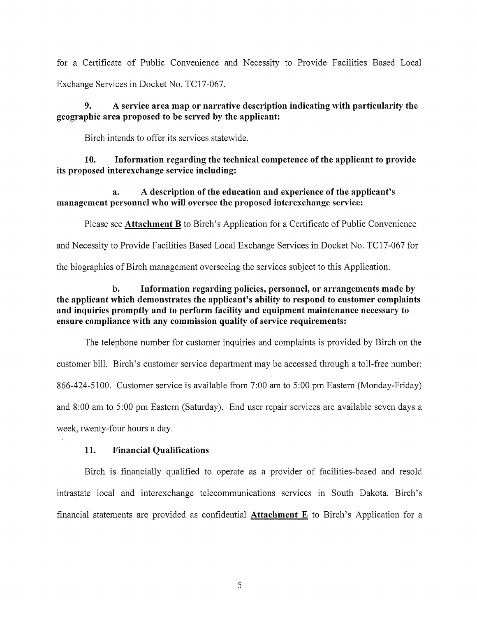for a Certificate of Public Convenience and Necessity to Provide Facilities Based Local Exchange Services in Docket No. TC17-067.

### **9. A service area map or narrative description indicating with particularity the geographic area proposed to be served by the applicant:**

Birch intends to offer its services statewide.

**10. Information regarding the technical competence of the applicant to provide its proposed interexchange service including:** 

**a. A description of the education and experience of the applicant's management personnel who will oversee the proposed interexchange service:** 

Please see **Attachment B** to Birch's Application for a Certificate of Public Convenience

and Necessity to Provide Facilities Based Local Exchange Services in Docket No. TC17-067 for

the biographies of Birch management overseeing the services subject to this Application.

### **b. Information regarding policies, personnel, or arrangements made by the applicant which demonstrates the applicant's ability to respond to customer complaints and inquiries promptly and to perform facility and equipment maintenance necessary to ensure compliance with any commission quality of service requirements:**

The telephone number for customer inquiries and complaints is provided by Birch on the customer bill. Birch's customer service department may be accessed through a toll-free number: 866-424-5100. Customer service is available from 7:00 am to 5:00 pm Eastern (Monday-Friday) and 8:00 am to 5:00 pm Eastern (Saturday). End user repair services are available seven days a week, twenty-four hours a day.

#### **11. Financial Qualifications**

Birch is financially qualified to operate as a provider of facilities-based and resold intrastate local and interexchange telecommunications services in South Dakota. Birch's financial statements are provided as confidential **Attachment E** to Birch's Application for a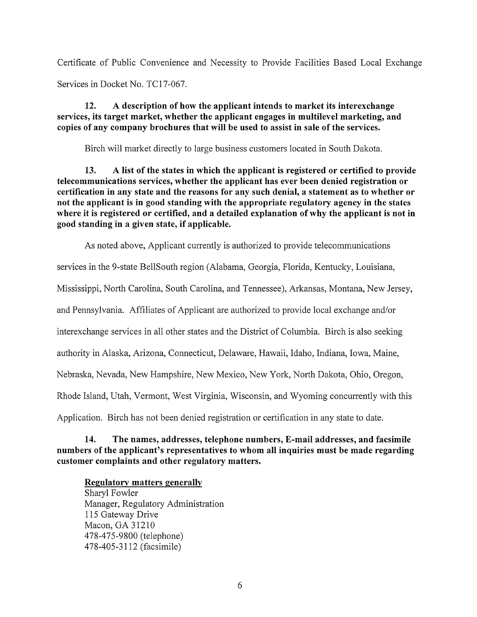Certificate of Public Convenience and Necessity to Provide Facilities Based Local Exchange Services in Docket No. TC17-067.

**12. A description of how the applicant intends to market its interexchange services, its target market, whether the applicant engages in multilevel marketing, and copies of any company brochures that will be used to assist in sale of the services.** 

Birch will market directly to large business customers located in South Dakota.

**13. A list of the states in which the applicant is registered or certified to provide telecommunications services, whether the applicant has ever been denied registration or certification in any state and the reasons for any such denial, a statement as to whether or not the applicant is in good standing with the appropriate regulatory agency in the states where it is registered or certified, and a detailed explanation of why the applicant is not in good standing in a given state, if applicable.** 

As noted above, Applicant currently is authorized to provide telecommunications

services in the 9-state BellSouth region (Alabama, Georgia, Florida, Kentucky, Louisiana,

Mississippi, North Carolina, South Carolina, and Tennessee), Arkansas, Montana, New Jersey,

and Pennsylvania. Affiliates of Applicant are authorized to provide local exchange and/or

interexchange services in all other states and the District of Columbia. Birch is also seeking

authority in Alaska, Arizona, Connecticut, Delaware, Hawaii, Idaho, Indiana, Iowa, Maine,

Nebraska, Nevada, New Hampshire, New Mexico, New York, North Dakota, Ohio, Oregon,

Rhode Island, Utah, Vermont, West Virginia, Wisconsin, and Wyoming concurrently with this

Application. Birch has not been denied registration or certification in any state to date.

### **14. The names, addresses, telephone numbers, E-mail addresses, and facsimile numbers of the applicant's representatives to whom all inquiries must be made regarding customer complaints and other regulatory matters.**

### **Regulatory matters generally**

Sharyl Fowler Manager, Regulatory Administration 115 Gateway Drive Macon, GA 31210 478-475-9800 (telephone) 478-405-3112 (facsimile)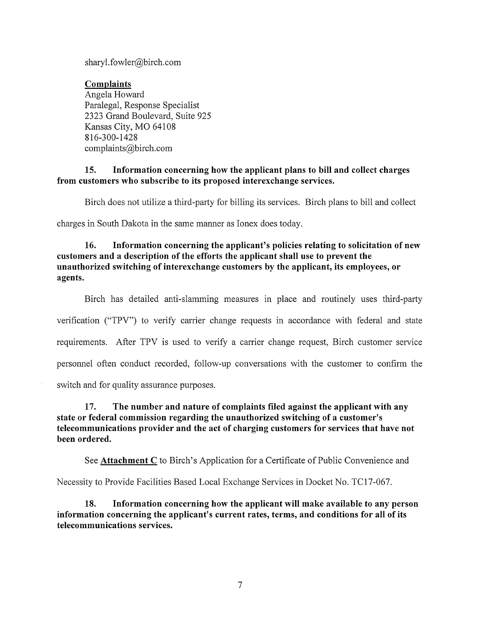sharyl.fowler@birch.com

**Complaints**  Angela Howard Paralegal, Response Specialist 2323 Grand Boulevard, Suite 925 Kansas City, MO 64108 816-300-1428 complaints@birch.com

### **15. Information concerning how the applicant plans to bill and collect charges from customers who subscribe to its proposed interexchange services.**

Birch does not utilize a third-party for billing its services. Birch plans to bill and collect

charges in South Dakota in the same manner as Ionex does today.

## **16. Information concerning the applicant's policies relating to solicitation of new customers and a description of the efforts the applicant shall use to prevent the unauthorized switching of interexchange customers by the applicant, its employees, or agents.**

Birch has detailed anti-slamming measures in place and routinely uses third-party verification ("TPV") to verify carrier change requests in accordance with federal and state requirements. After TPV is used to verify a carrier change request, Birch customer service personnel often conduct recorded, follow-up conversations with the customer to confirm the switch and for quality assurance purposes.

## **17. The number and nature of complaints filed against the applicant with any state or federal commission regarding the unauthorized switching of a customer's telecommunications provider and the act of charging customers for services that have not been ordered.**

See **Attachment C** to Birch's Application for a Certificate of Public Convenience and

Necessity to Provide Facilities Based Local Exchange Services in Docket No. TC17-067.

**18. Information concerning how the applicant will make available to any person information concerning the applicant's current rates, terms, and conditions for all of its telecommunications services.**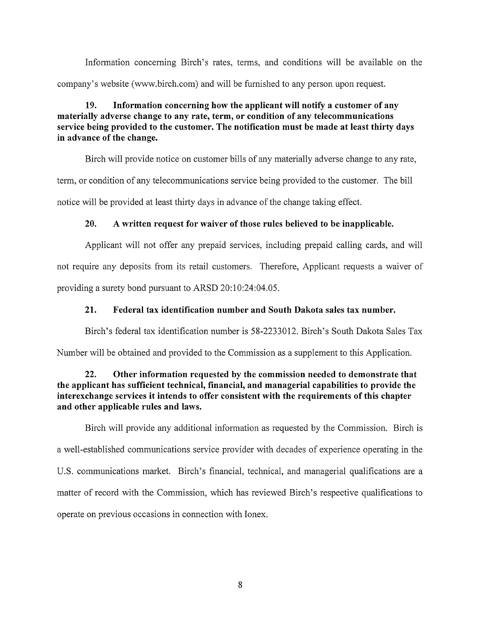Information concerning Birch's rates, terms, and conditions will be available on the company's website (www.birch.com) and will be furnished to any person upon request.

# **19. Information concerning how the applicant will notify a customer of any materially adverse change to any rate, term, or condition of any telecommunications service being provided to the customer. The notification must be made at least thirty days in advance of the change.**

Birch will provide notice on customer bills of any materially adverse change to any rate, term, or condition of any telecommunications service being provided to the customer. The bill notice will be provided at least thirty days in advance of the change taking effect.

## **20. A written request for waiver of those rules believed to be inapplicable.**

Applicant will not offer any prepaid services, including prepaid calling cards, and will not require any deposits from its retail customers. Therefore, Applicant requests a waiver of providing a surety bond pursuant to ARSD 20:10:24:04.05.

## **21. Federal tax identification number and South Dakota sales tax number.**

Birch's federal tax identification number is 58-2233012. Birch's South Dakota Sales Tax

Number will be obtained and provided to the Commission as a supplement to this Application.

## **22. Other information requested by the commission needed to demonstrate that the applicant has sufficient technical, financial, and managerial capabilities to provide the interexchange services it intends to offer consistent with the requirements of this chapter and other applicable rules and laws.**

Birch will provide any additional information as requested by the Commission. Birch is a well-established communications service provider with decades of experience operating in the U.S. communications market. Birch's financial, technical, and managerial qualifications are a matter of record with the Commission, which has reviewed Birch's respective qualifications to operate on previous occasions in connection with Ionex.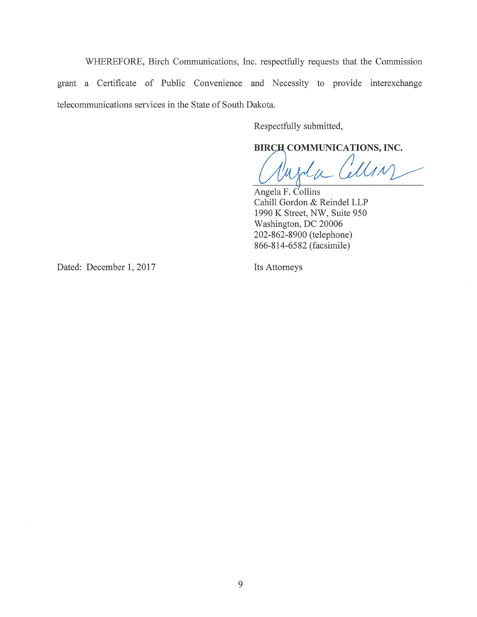WHEREFORE, Birch Communications, Inc. respectfully requests that the Commission grant a Certificate of Public Convenience and Necessity to provide interexchange telecommunications services in the State of South Dakota.

Respectfully submitted,

BIRCH COMMUNICATIONS, INC.

Wolfe Cellin

Angela F. Collins Cahill Gordon & Reindel LLP 1990 K Street, NW, Suite 950 Washington, DC 20006 202-862-8900 (telephone) 866-814-6582 (facsimile)

Dated: December 1, 2017 Its Attorneys